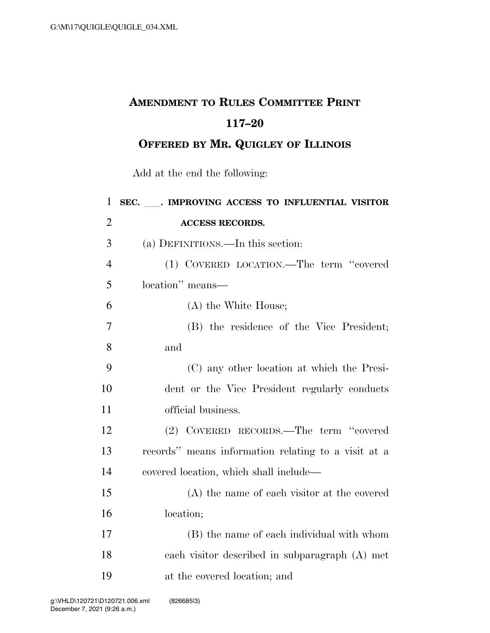## **AMENDMENT TO RULES COMMITTEE PRINT 117–20**

**OFFERED BY MR. QUIGLEY OF ILLINOIS**

Add at the end the following:

| $\mathbf{1}$   | SEC. MPROVING ACCESS TO INFLUENTIAL VISITOR         |
|----------------|-----------------------------------------------------|
| $\overline{2}$ | <b>ACCESS RECORDS.</b>                              |
| 3              | (a) DEFINITIONS.—In this section:                   |
| $\overline{4}$ | (1) COVERED LOCATION.—The term "covered             |
| 5              | location" means-                                    |
| 6              | (A) the White House;                                |
| $\overline{7}$ | (B) the residence of the Vice President;            |
| 8              | and                                                 |
| 9              | (C) any other location at which the Presi-          |
| 10             | dent or the Vice President regularly conducts       |
| 11             | official business.                                  |
| 12             | (2) COVERED RECORDS.—The term "covered              |
| 13             | records" means information relating to a visit at a |
| 14             | covered location, which shall include—              |
| 15             | (A) the name of each visitor at the covered         |
| 16             | location;                                           |
| 17             | (B) the name of each individual with whom           |
| 18             | each visitor described in subparagraph (A) met      |
| 19             | at the covered location; and                        |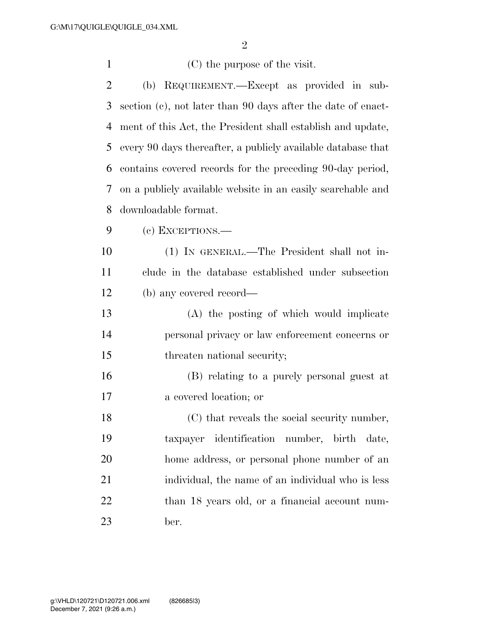| $\mathbf{1}$   | (C) the purpose of the visit.                                |
|----------------|--------------------------------------------------------------|
| $\overline{2}$ | (b) REQUIREMENT.—Except as provided in sub-                  |
| 3              | section (c), not later than 90 days after the date of enact- |
| 4              | ment of this Act, the President shall establish and update,  |
| 5              | every 90 days thereafter, a publicly available database that |
| 6              | contains covered records for the preceding 90-day period,    |
| 7              | on a publicly available website in an easily searchable and  |
| 8              | downloadable format.                                         |
| 9              | (c) EXCEPTIONS.—                                             |
| 10             | (1) IN GENERAL.—The President shall not in-                  |
| 11             | clude in the database established under subsection           |
| 12             | (b) any covered record—                                      |
| 13             | (A) the posting of which would implicate                     |
| 14             | personal privacy or law enforcement concerns or              |
| 15             | threaten national security;                                  |
| 16             | (B) relating to a purely personal guest at                   |
| 17             | a covered location; or                                       |
| 18             | (C) that reveals the social security number,                 |
| 19             | taxpayer identification number, birth date,                  |
| 20             | home address, or personal phone number of an                 |
| 21             | individual, the name of an individual who is less            |
| 22             | than 18 years old, or a financial account num-               |
| 23             | ber.                                                         |